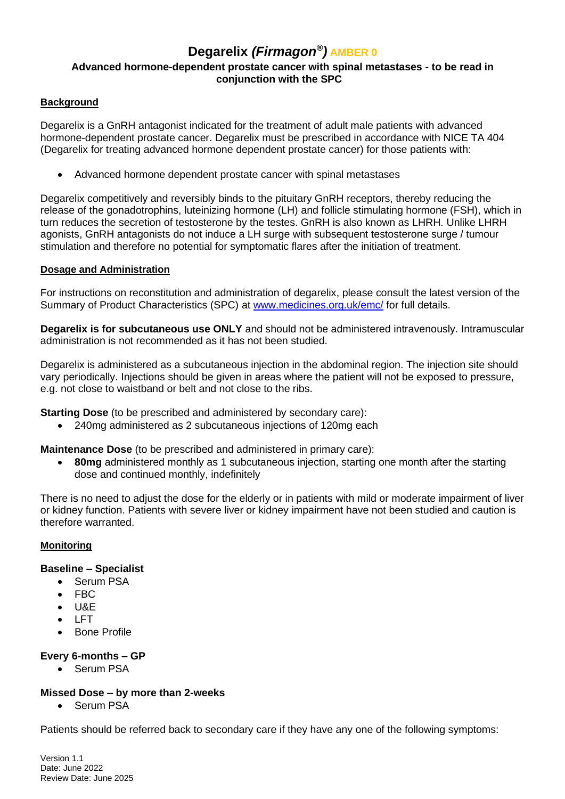# **Degarelix** *(Firmagon® )* **AMBER 0 Advanced hormone-dependent prostate cancer with spinal metastases - to be read in conjunction with the SPC**

## **Background**

Degarelix is a GnRH antagonist indicated for the treatment of adult male patients with advanced hormone-dependent prostate cancer. Degarelix must be prescribed in accordance with NICE TA 404 (Degarelix for treating advanced hormone dependent prostate cancer) for those patients with:

• Advanced hormone dependent prostate cancer with spinal metastases

Degarelix competitively and reversibly binds to the pituitary GnRH receptors, thereby reducing the release of the gonadotrophins, luteinizing hormone (LH) and follicle stimulating hormone (FSH), which in turn reduces the secretion of testosterone by the testes. GnRH is also known as LHRH. Unlike LHRH agonists, GnRH antagonists do not induce a LH surge with subsequent testosterone surge / tumour stimulation and therefore no potential for symptomatic flares after the initiation of treatment.

### **Dosage and Administration**

For instructions on reconstitution and administration of degarelix, please consult the latest version of the Summary of Product Characteristics (SPC) at [www.medicines.org.uk/](http://www.medicines.org.uk/)emc/ for full details.

**Degarelix is for subcutaneous use ONLY** and should not be administered intravenously. Intramuscular administration is not recommended as it has not been studied.

Degarelix is administered as a subcutaneous injection in the abdominal region. The injection site should vary periodically. Injections should be given in areas where the patient will not be exposed to pressure, e.g. not close to waistband or belt and not close to the ribs.

**Starting Dose** (to be prescribed and administered by secondary care):

• 240mg administered as 2 subcutaneous injections of 120mg each

**Maintenance Dose** (to be prescribed and administered in primary care):

• **80mg** administered monthly as 1 subcutaneous injection, starting one month after the starting dose and continued monthly, indefinitely

There is no need to adjust the dose for the elderly or in patients with mild or moderate impairment of liver or kidney function. Patients with severe liver or kidney impairment have not been studied and caution is therefore warranted.

#### **Monitoring**

## **Baseline – Specialist**

- Serum PSA
- FBC
- U&E
- LFT
- Bone Profile

### **Every 6-months – GP**

• Serum PSA

### **Missed Dose – by more than 2-weeks**

• Serum PSA

Patients should be referred back to secondary care if they have any one of the following symptoms:

Version 1.1 Date: June 2022 Review Date: June 2025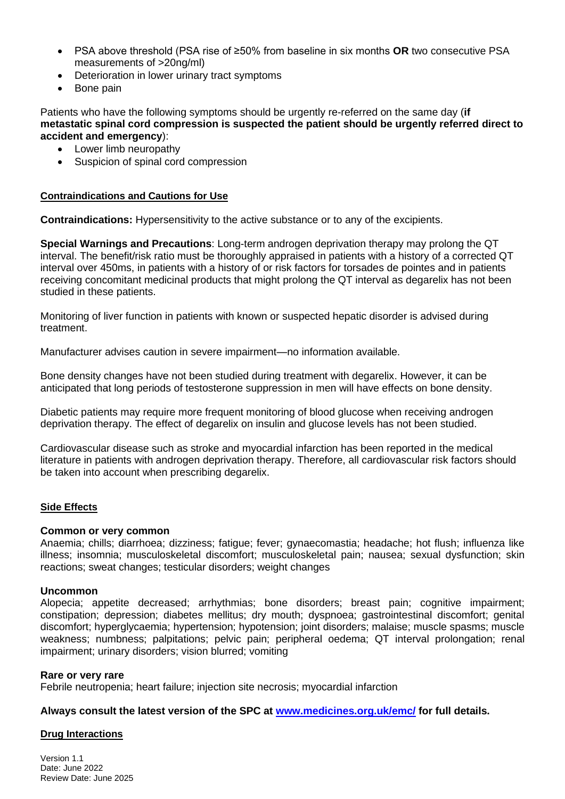- PSA above threshold (PSA rise of ≥50% from baseline in six months **OR** two consecutive PSA measurements of >20ng/ml)
- Deterioration in lower urinary tract symptoms
- Bone pain

Patients who have the following symptoms should be urgently re-referred on the same day (**if metastatic spinal cord compression is suspected the patient should be urgently referred direct to accident and emergency**):

- Lower limb neuropathy
- Suspicion of spinal cord compression

### **Contraindications and Cautions for Use**

**Contraindications:** Hypersensitivity to the active substance or to any of the excipients.

**Special Warnings and Precautions**: Long-term androgen deprivation therapy may prolong the QT interval. The benefit/risk ratio must be thoroughly appraised in patients with a history of a corrected QT interval over 450ms, in patients with a history of or risk factors for torsades de pointes and in patients receiving concomitant medicinal products that might prolong the QT interval as degarelix has not been studied in these patients.

Monitoring of liver function in patients with known or suspected hepatic disorder is advised during treatment.

Manufacturer advises caution in severe impairment—no information available.

Bone density changes have not been studied during treatment with degarelix. However, it can be anticipated that long periods of testosterone suppression in men will have effects on bone density.

Diabetic patients may require more frequent monitoring of blood glucose when receiving androgen deprivation therapy. The effect of degarelix on insulin and glucose levels has not been studied.

Cardiovascular disease such as stroke and myocardial infarction has been reported in the medical literature in patients with androgen deprivation therapy. Therefore, all cardiovascular risk factors should be taken into account when prescribing degarelix.

#### **Side Effects**

#### **Common or very common**

Anaemia; chills; diarrhoea; dizziness; fatigue; fever; gynaecomastia; headache; hot flush; influenza like illness; insomnia; musculoskeletal discomfort; musculoskeletal pain; nausea; sexual dysfunction; skin reactions; sweat changes; testicular disorders; weight changes

#### **Uncommon**

Alopecia; appetite decreased; arrhythmias; bone disorders; breast pain; cognitive impairment; constipation; depression; diabetes mellitus; dry mouth; dyspnoea; gastrointestinal discomfort; genital discomfort; hyperglycaemia; hypertension; hypotension; joint disorders; malaise; muscle spasms; muscle weakness; numbness; palpitations; pelvic pain; peripheral oedema; QT interval prolongation; renal impairment; urinary disorders; vision blurred; vomiting

#### **Rare or very rare**

Febrile neutropenia; heart failure; injection site necrosis; myocardial infarction

#### **Always consult the latest version of the SPC at [www.medicines.org.uk/](http://www.medicines.org.uk/)emc/ for full details.**

#### **Drug Interactions**

Version 1.1 Date: June 2022 Review Date: June 2025